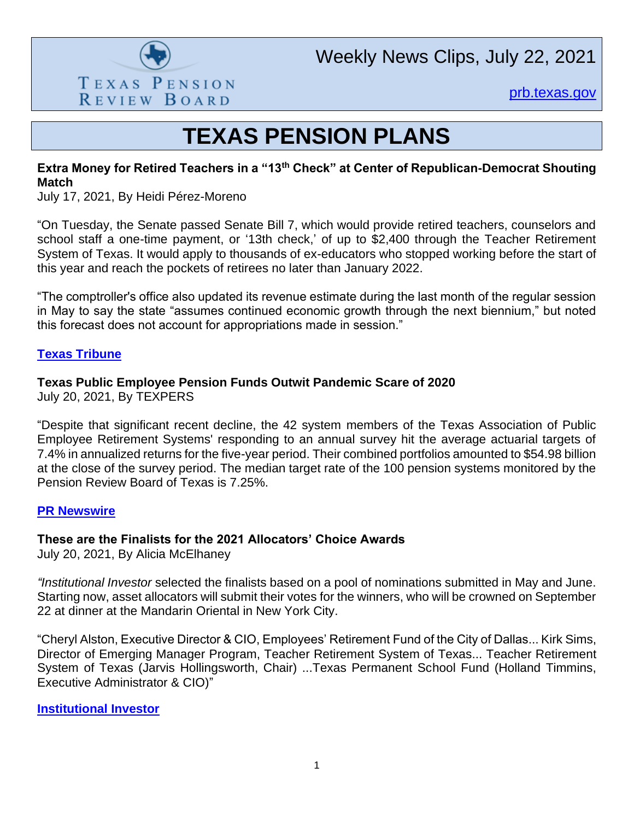

Weekly News Clips, July 22, 2021

[prb.texas.gov](http://www.prb.texas.gov/)

# **TEXAS PENSION PLANS**

#### **Extra Money for Retired Teachers in a "13th Check" at Center of Republican-Democrat Shouting Match**

July 17, 2021, By Heidi Pérez-Moreno

"On Tuesday, the Senate passed Senate Bill 7, which would provide retired teachers, counselors and school staff a one-time payment, or '13th check,' of up to \$2,400 through the Teacher Retirement System of Texas. It would apply to thousands of ex-educators who stopped working before the start of this year and reach the pockets of retirees no later than January 2022.

"The comptroller's office also updated its revenue estimate during the last month of the regular session in May to say the state "assumes continued economic growth through the next biennium," but noted this forecast does not account for appropriations made in session."

#### **[Texas Tribune](https://www.texastribune.org/2021/07/17/retired-texas-teachers-13th-check/)**

# **Texas Public Employee Pension Funds Outwit Pandemic Scare of 2020**

July 20, 2021, By TEXPERS

"Despite that significant recent decline, the 42 system members of the Texas Association of Public Employee Retirement Systems' responding to an annual survey hit the average actuarial targets of 7.4% in annualized returns for the five-year period. Their combined portfolios amounted to \$54.98 billion at the close of the survey period. The median target rate of the 100 pension systems monitored by the Pension Review Board of Texas is 7.25%.

#### **[PR Newswire](https://www.prnewswire.com/news-releases/texas-public-employee-pension-funds-outwit-pandemic-scare-of-2020-301337714.html)**

#### **These are the Finalists for the 2021 Allocators' Choice Awards**

July 20, 2021, By Alicia McElhaney

*"Institutional Investor* selected the finalists based on a pool of nominations submitted in May and June. Starting now, asset allocators will submit their votes for the winners, who will be crowned on September 22 at dinner at the Mandarin Oriental in New York City.

"Cheryl Alston, Executive Director & CIO, Employees' Retirement Fund of the City of Dallas... Kirk Sims, Director of Emerging Manager Program, Teacher Retirement System of Texas... Teacher Retirement System of Texas (Jarvis Hollingsworth, Chair) ...Texas Permanent School Fund (Holland Timmins, Executive Administrator & CIO)"

**[Institutional Investor](https://www.institutionalinvestor.com/article/b1ssgb9dnyy8t5/These-Are-the-Finalists-for-the-2021-Allocators-Choice-Awards)**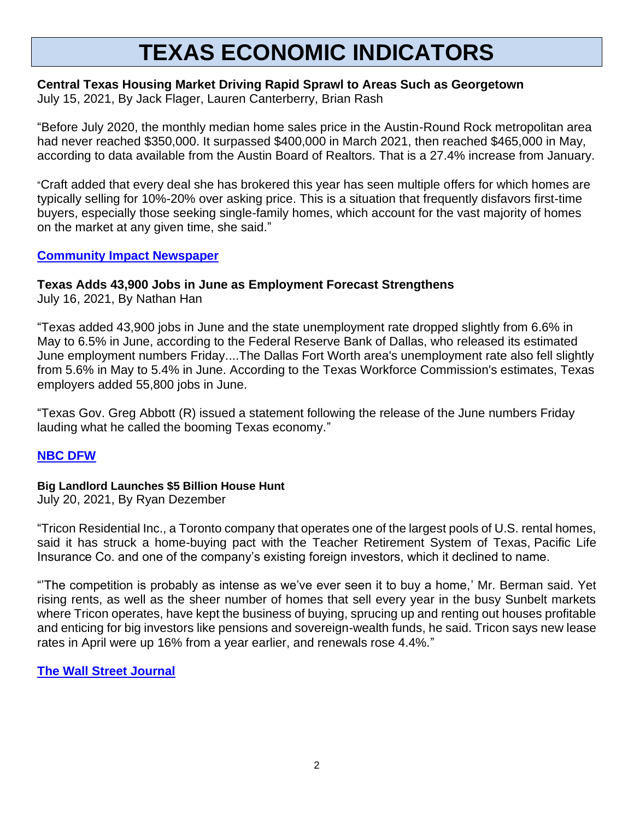# **TEXAS ECONOMIC INDICATORS**

### **Central Texas Housing Market Driving Rapid Sprawl to Areas Such as Georgetown**

July 15, 2021, By Jack Flager, Lauren Canterberry, Brian Rash

"Before July 2020, the monthly median home sales price in the Austin-Round Rock metropolitan area had never reached \$350,000. It surpassed \$400,000 in March 2021, then reached \$465,000 in May, according to data available from the Austin Board of Realtors. That is a 27.4% increase from January.

"Craft added that every deal she has brokered this year has seen multiple offers for which homes are typically selling for 10%-20% over asking price. This is a situation that frequently disfavors first-time buyers, especially those seeking single-family homes, which account for the vast majority of homes on the market at any given time, she said."

#### **[Community Impact Newspaper](https://communityimpact.com/austin/georgetown/housing-real-estate/2021/07/15/central-texas-housing-market-driving-rapid-sprawl-to-areas-such-as-georgetown/)**

#### **Texas Adds 43,900 Jobs in June as Employment Forecast Strengthens**

July 16, 2021, By Nathan Han

"Texas added 43,900 jobs in June and the state unemployment rate dropped slightly from 6.6% in May to 6.5% in June, according to the Federal Reserve Bank of Dallas, who released its estimated June employment numbers Friday....The Dallas Fort Worth area's unemployment rate also fell slightly from 5.6% in May to 5.4% in June. According to the Texas Workforce Commission's estimates, Texas employers added 55,800 jobs in June.

"Texas Gov. Greg Abbott (R) issued a statement following the release of the June numbers Friday lauding what he called the booming Texas economy."

# **[NBC DFW](https://www.nbcdfw.com/news/business/dallas-fed-texas-adds-43900-jobs-in-june-as-employment-forecast-strengthens/2683506/)**

#### **Big Landlord Launches \$5 Billion House Hunt**

July 20, 2021, By Ryan Dezember

"Tricon Residential Inc., a Toronto company that operates one of the largest pools of U.S. rental homes, said it has struck a home-buying pact with the Teacher Retirement System of Texas, Pacific Life Insurance Co. and one of the company's existing foreign investors, which it declined to name.

"'The competition is probably as intense as we've ever seen it to buy a home,' Mr. Berman said. Yet rising rents, as well as the sheer number of homes that sell every year in the busy Sunbelt markets where Tricon operates, have kept the business of buying, sprucing up and renting out houses profitable and enticing for big investors like pensions and sovereign-wealth funds, he said. Tricon says new lease rates in April were up 16% from a year earlier, and renewals rose 4.4%."

# **[The Wall Street Journal](https://www.wsj.com/articles/big-landlord-launches-5-billion-house-hunt-11626781403)**